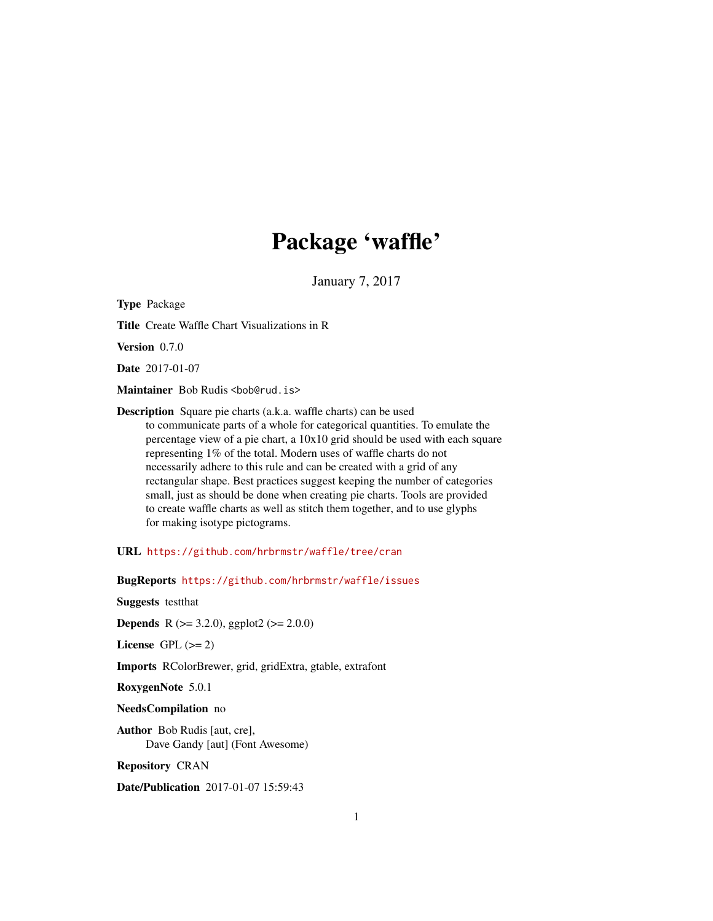## Package 'waffle'

January 7, 2017

Type Package Title Create Waffle Chart Visualizations in R Version 0.7.0 Date 2017-01-07 Maintainer Bob Rudis <br/>bob@rud.is> Description Square pie charts (a.k.a. waffle charts) can be used to communicate parts of a whole for categorical quantities. To emulate the percentage view of a pie chart, a 10x10 grid should be used with each square representing 1% of the total. Modern uses of waffle charts do not necessarily adhere to this rule and can be created with a grid of any rectangular shape. Best practices suggest keeping the number of categories small, just as should be done when creating pie charts. Tools are provided to create waffle charts as well as stitch them together, and to use glyphs for making isotype pictograms.

URL <https://github.com/hrbrmstr/waffle/tree/cran>

BugReports <https://github.com/hrbrmstr/waffle/issues>

Suggests testthat

**Depends** R ( $>= 3.2.0$ ), ggplot2 ( $>= 2.0.0$ )

License GPL  $(>= 2)$ 

Imports RColorBrewer, grid, gridExtra, gtable, extrafont

RoxygenNote 5.0.1

NeedsCompilation no

Author Bob Rudis [aut, cre], Dave Gandy [aut] (Font Awesome)

Repository CRAN

Date/Publication 2017-01-07 15:59:43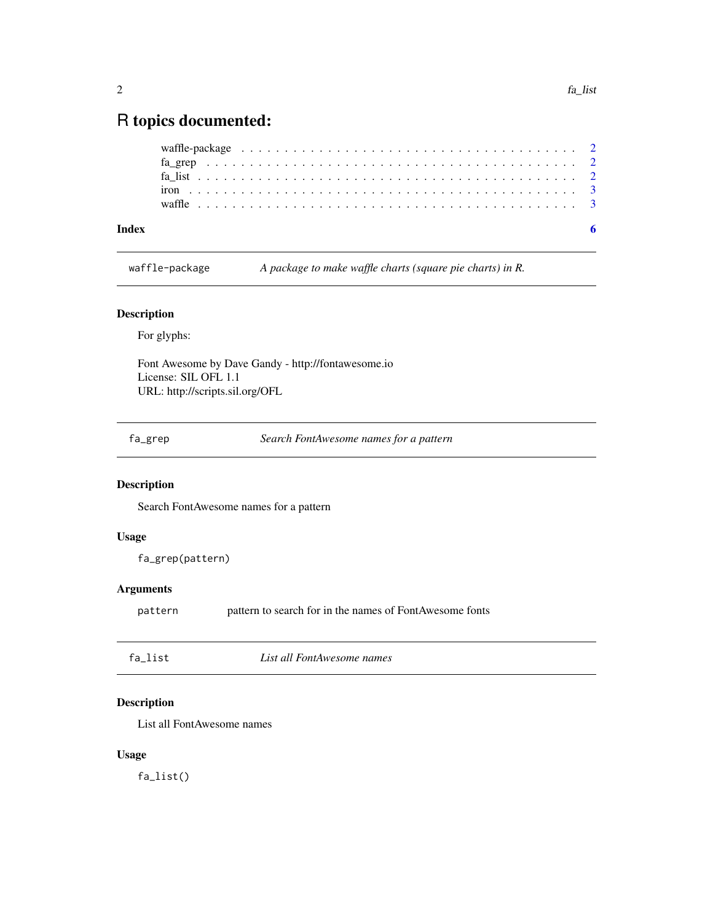### <span id="page-1-0"></span>R topics documented:

waffle-package *A package to make waffle charts (square pie charts) in R.*

#### Description

For glyphs:

Font Awesome by Dave Gandy - http://fontawesome.io License: SIL OFL 1.1 URL: http://scripts.sil.org/OFL

fa\_grep *Search FontAwesome names for a pattern*

#### Description

Search FontAwesome names for a pattern

#### Usage

fa\_grep(pattern)

#### Arguments

pattern pattern to search for in the names of FontAwesome fonts

| fa list | List all FontAwesome names |  |
|---------|----------------------------|--|
|         |                            |  |

#### Description

List all FontAwesome names

#### Usage

fa\_list()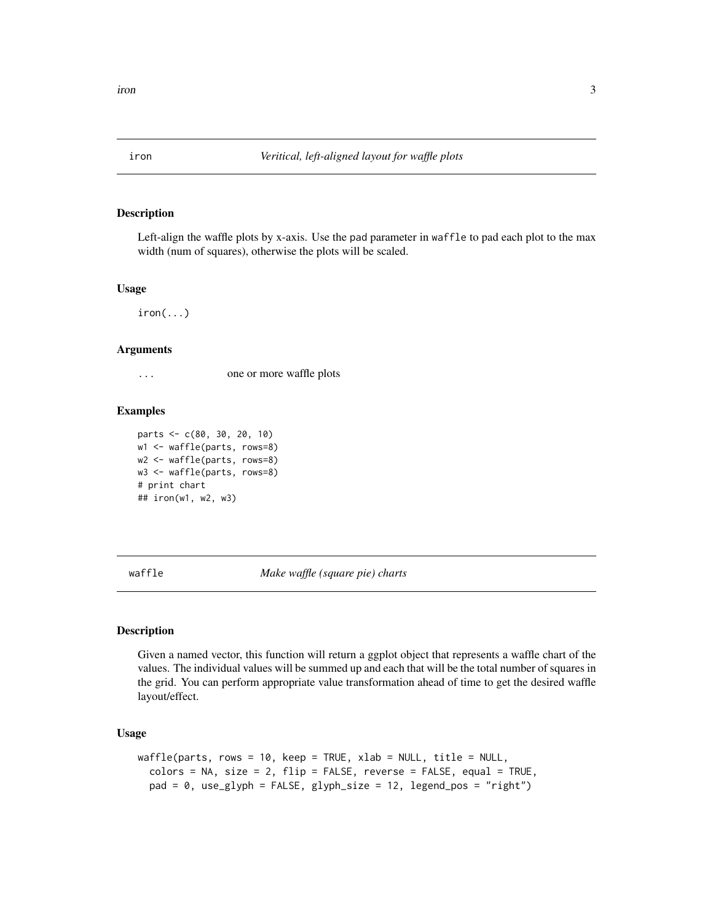<span id="page-2-0"></span>

#### Description

Left-align the waffle plots by x-axis. Use the pad parameter in waffle to pad each plot to the max width (num of squares), otherwise the plots will be scaled.

#### Usage

 $iron(...)$ 

#### Arguments

... one or more waffle plots

#### Examples

```
parts <- c(80, 30, 20, 10)
w1 <- waffle(parts, rows=8)
w2 <- waffle(parts, rows=8)
w3 <- waffle(parts, rows=8)
# print chart
## iron(w1, w2, w3)
```
waffle *Make waffle (square pie) charts*

#### Description

Given a named vector, this function will return a ggplot object that represents a waffle chart of the values. The individual values will be summed up and each that will be the total number of squares in the grid. You can perform appropriate value transformation ahead of time to get the desired waffle layout/effect.

#### Usage

```
waffle(parts, rows = 10, keep = TRUE, xlab = NULL, title = NULL,
  colors = NA, size = 2, flip = FALSE, reverse = FALSE, equal = TRUE,
  pad = 0, use_glyph = FALSE, glyph_size = 12, legend_pos = "right")
```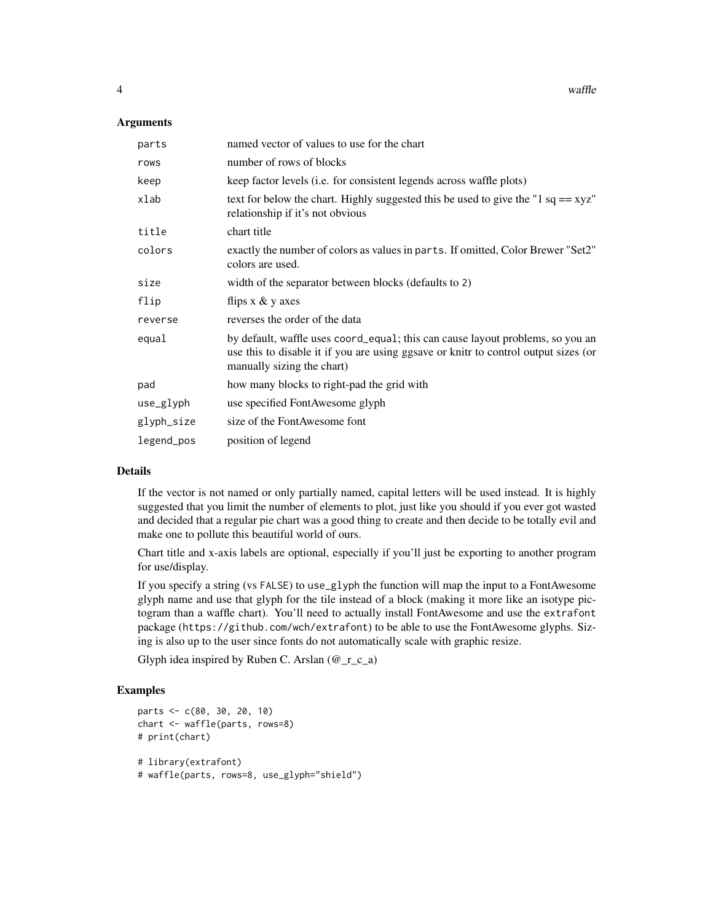4 waffle

#### **Arguments**

| parts      | named vector of values to use for the chart                                                                                                                                                         |
|------------|-----------------------------------------------------------------------------------------------------------------------------------------------------------------------------------------------------|
| rows       | number of rows of blocks                                                                                                                                                                            |
| keep       | keep factor levels (i.e. for consistent legends across waffle plots)                                                                                                                                |
| xlab       | text for below the chart. Highly suggested this be used to give the "1 $sq == xyz$ "<br>relationship if it's not obvious                                                                            |
| title      | chart title                                                                                                                                                                                         |
| colors     | exactly the number of colors as values in parts. If omitted, Color Brewer "Set2"<br>colors are used.                                                                                                |
| size       | width of the separator between blocks (defaults to 2)                                                                                                                                               |
| flip       | flips $x \& y$ axes                                                                                                                                                                                 |
| reverse    | reverses the order of the data                                                                                                                                                                      |
| equal      | by default, waffle uses coord_equal; this can cause layout problems, so you an<br>use this to disable it if you are using ggsave or knitr to control output sizes (or<br>manually sizing the chart) |
| pad        | how many blocks to right-pad the grid with                                                                                                                                                          |
| use_glyph  | use specified FontAwesome glyph                                                                                                                                                                     |
| glyph_size | size of the FontAwesome font                                                                                                                                                                        |
| legend_pos | position of legend                                                                                                                                                                                  |

#### Details

If the vector is not named or only partially named, capital letters will be used instead. It is highly suggested that you limit the number of elements to plot, just like you should if you ever got wasted and decided that a regular pie chart was a good thing to create and then decide to be totally evil and make one to pollute this beautiful world of ours.

Chart title and x-axis labels are optional, especially if you'll just be exporting to another program for use/display.

If you specify a string (vs FALSE) to use\_glyph the function will map the input to a FontAwesome glyph name and use that glyph for the tile instead of a block (making it more like an isotype pictogram than a waffle chart). You'll need to actually install FontAwesome and use the extrafont package (https://github.com/wch/extrafont) to be able to use the FontAwesome glyphs. Sizing is also up to the user since fonts do not automatically scale with graphic resize.

Glyph idea inspired by Ruben C. Arslan  $(\mathcal{Q}_r_c a)$ 

#### Examples

```
parts <- c(80, 30, 20, 10)
chart <- waffle(parts, rows=8)
# print(chart)
# library(extrafont)
# waffle(parts, rows=8, use_glyph="shield")
```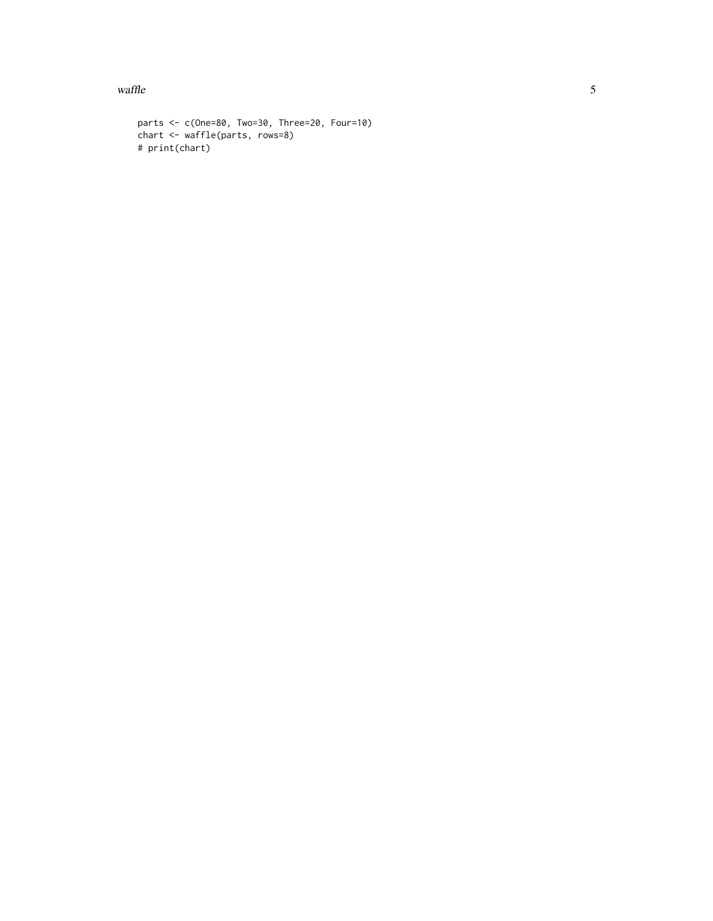$\omega$  waffle  $\sim$  5

```
parts <- c(One=80, Two=30, Three=20, Four=10)
chart <- waffle(parts, rows=8)
# print(chart)
```